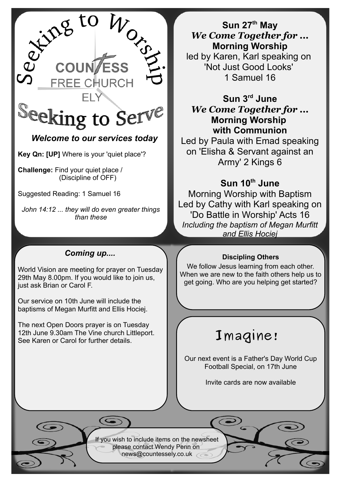

**Key Qn: [UP]** Where is your 'quiet place'?

**Challenge:** Find your quiet place / (Discipline of OFF)

Suggested Reading: 1 Samuel 16

*John 14:12 ... they will do even greater things than these*

## *Coming up....*

World Vision are meeting for prayer on Tuesday 29th May 8.00pm. If you would like to join us, just ask Brian or Carol F.

Our service on 10th June will include the baptisms of Megan Murfitt and Ellis Hociej.

The next Open Doors prayer is on Tuesday 12th June 9.30am The Vine church Littleport. See Karen or Carol for further details.

**Sun 27th May** *We Come Together for ...* **Morning Worship** led by Karen, Karl speaking on 'Not Just Good Looks' 1 Samuel 16

**Sun 3rd June** *We Come Together for ...* **Morning Worship with Communion**

Led by Paula with Emad speaking on 'Elisha & Servant against an Army' 2 Kings 6

## **Sun 10th June**

Morning Worship with Baptism Led by Cathy with Karl speaking on 'Do Battle in Worship' Acts 16 *Including the baptism of Megan Murfitt and Ellis Hociej*

### **Discipling Others**

We follow Jesus learning from each other. When we are new to the faith others help us to get going. Who are you helping get started?

# **Imagine!**

Our next event is a Father's Day World Cup Football Special, on 17th June

Invite cards are now available

If you wish to include items on the newsheet please contact Wendy Penn on [news@countessely.co.uk](mailto:news@countessely.co.uk)